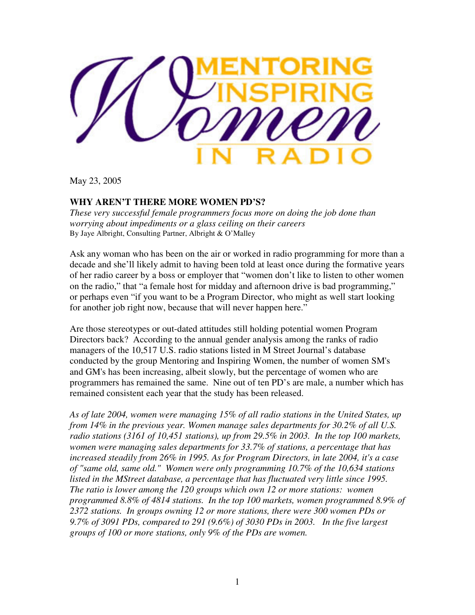

May 23, 2005

## **WHY AREN'T THERE MORE WOMEN PD'S?**

*These very successful female programmers focus more on doing the job done than worrying about impediments or a glass ceiling on their careers*  By Jaye Albright, Consulting Partner, Albright & O'Malley

Ask any woman who has been on the air or worked in radio programming for more than a decade and she'll likely admit to having been told at least once during the formative years of her radio career by a boss or employer that "women don't like to listen to other women on the radio," that "a female host for midday and afternoon drive is bad programming," or perhaps even "if you want to be a Program Director, who might as well start looking for another job right now, because that will never happen here."

Are those stereotypes or out-dated attitudes still holding potential women Program Directors back? According to the annual gender analysis among the ranks of radio managers of the 10,517 U.S. radio stations listed in M Street Journal's database conducted by the group Mentoring and Inspiring Women, the number of women SM's and GM's has been increasing, albeit slowly, but the percentage of women who are programmers has remained the same. Nine out of ten PD's are male, a number which has remained consistent each year that the study has been released.

*As of late 2004, women were managing 15% of all radio stations in the United States, up from 14% in the previous year. Women manage sales departments for 30.2% of all U.S. radio stations (3161 of 10,451 stations), up from 29.5% in 2003. In the top 100 markets, women were managing sales departments for 33.7% of stations, a percentage that has increased steadily from 26% in 1995. As for Program Directors, in late 2004, it's a case of "same old, same old." Women were only programming 10.7% of the 10,634 stations*  listed in the MStreet database, a percentage that has fluctuated very little since 1995. *The ratio is lower among the 120 groups which own 12 or more stations: women programmed 8.8% of 4814 stations. In the top 100 markets, women programmed 8.9% of 2372 stations. In groups owning 12 or more stations, there were 300 women PDs or 9.7% of 3091 PDs, compared to 291 (9.6%) of 3030 PDs in 2003. In the five largest groups of 100 or more stations, only 9% of the PDs are women.*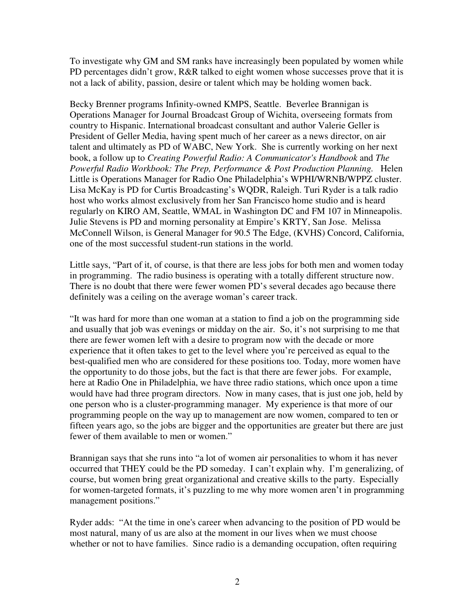To investigate why GM and SM ranks have increasingly been populated by women while PD percentages didn't grow, R&R talked to eight women whose successes prove that it is not a lack of ability, passion, desire or talent which may be holding women back.

Becky Brenner programs Infinity-owned KMPS, Seattle. Beverlee Brannigan is Operations Manager for Journal Broadcast Group of Wichita, overseeing formats from country to Hispanic. International broadcast consultant and author Valerie Geller is President of Geller Media, having spent much of her career as a news director, on air talent and ultimately as PD of WABC, New York. She is currently working on her next book, a follow up to *Creating Powerful Radio: A Communicator's Handbook* and *The Powerful Radio Workbook: The Prep, Performance & Post Production Planning.* Helen Little is Operations Manager for Radio One Philadelphia's WPHI/WRNB/WPPZ cluster. Lisa McKay is PD for Curtis Broadcasting's WQDR, Raleigh. Turi Ryder is a talk radio host who works almost exclusively from her San Francisco home studio and is heard regularly on KIRO AM, Seattle, WMAL in Washington DC and FM 107 in Minneapolis. Julie Stevens is PD and morning personality at Empire's KRTY, San Jose. Melissa McConnell Wilson, is General Manager for 90.5 The Edge, (KVHS) Concord, California, one of the most successful student-run stations in the world.

Little says, "Part of it, of course, is that there are less jobs for both men and women today in programming. The radio business is operating with a totally different structure now. There is no doubt that there were fewer women PD's several decades ago because there definitely was a ceiling on the average woman's career track.

"It was hard for more than one woman at a station to find a job on the programming side and usually that job was evenings or midday on the air. So, it's not surprising to me that there are fewer women left with a desire to program now with the decade or more experience that it often takes to get to the level where you're perceived as equal to the best-qualified men who are considered for these positions too. Today, more women have the opportunity to do those jobs, but the fact is that there are fewer jobs. For example, here at Radio One in Philadelphia, we have three radio stations, which once upon a time would have had three program directors. Now in many cases, that is just one job, held by one person who is a cluster-programming manager. My experience is that more of our programming people on the way up to management are now women, compared to ten or fifteen years ago, so the jobs are bigger and the opportunities are greater but there are just fewer of them available to men or women."

Brannigan says that she runs into "a lot of women air personalities to whom it has never occurred that THEY could be the PD someday. I can't explain why. I'm generalizing, of course, but women bring great organizational and creative skills to the party. Especially for women-targeted formats, it's puzzling to me why more women aren't in programming management positions."

Ryder adds: "At the time in one's career when advancing to the position of PD would be most natural, many of us are also at the moment in our lives when we must choose whether or not to have families. Since radio is a demanding occupation, often requiring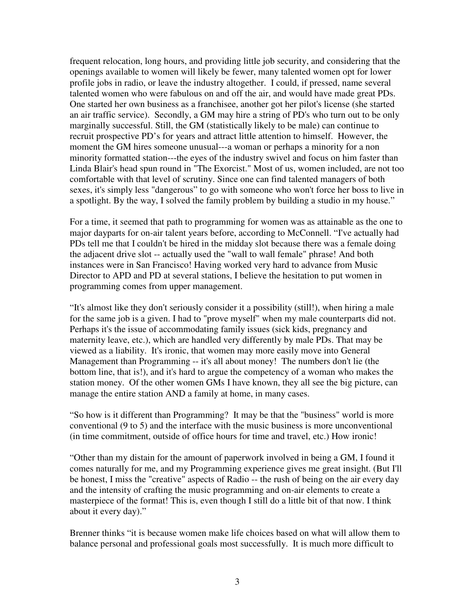frequent relocation, long hours, and providing little job security, and considering that the openings available to women will likely be fewer, many talented women opt for lower profile jobs in radio, or leave the industry altogether. I could, if pressed, name several talented women who were fabulous on and off the air, and would have made great PDs. One started her own business as a franchisee, another got her pilot's license (she started an air traffic service). Secondly, a GM may hire a string of PD's who turn out to be only marginally successful. Still, the GM (statistically likely to be male) can continue to recruit prospective PD's for years and attract little attention to himself. However, the moment the GM hires someone unusual---a woman or perhaps a minority for a non minority formatted station---the eyes of the industry swivel and focus on him faster than Linda Blair's head spun round in "The Exorcist." Most of us, women included, are not too comfortable with that level of scrutiny. Since one can find talented managers of both sexes, it's simply less "dangerous" to go with someone who won't force her boss to live in a spotlight. By the way, I solved the family problem by building a studio in my house."

For a time, it seemed that path to programming for women was as attainable as the one to major dayparts for on-air talent years before, according to McConnell. "I've actually had PDs tell me that I couldn't be hired in the midday slot because there was a female doing the adjacent drive slot -- actually used the "wall to wall female" phrase! And both instances were in San Francisco! Having worked very hard to advance from Music Director to APD and PD at several stations, I believe the hesitation to put women in programming comes from upper management.

"It's almost like they don't seriously consider it a possibility (still!), when hiring a male for the same job is a given. I had to "prove myself" when my male counterparts did not. Perhaps it's the issue of accommodating family issues (sick kids, pregnancy and maternity leave, etc.), which are handled very differently by male PDs. That may be viewed as a liability. It's ironic, that women may more easily move into General Management than Programming -- it's all about money! The numbers don't lie (the bottom line, that is!), and it's hard to argue the competency of a woman who makes the station money. Of the other women GMs I have known, they all see the big picture, can manage the entire station AND a family at home, in many cases.

"So how is it different than Programming? It may be that the "business" world is more conventional (9 to 5) and the interface with the music business is more unconventional (in time commitment, outside of office hours for time and travel, etc.) How ironic!

"Other than my distain for the amount of paperwork involved in being a GM, I found it comes naturally for me, and my Programming experience gives me great insight. (But I'll be honest, I miss the "creative" aspects of Radio -- the rush of being on the air every day and the intensity of crafting the music programming and on-air elements to create a masterpiece of the format! This is, even though I still do a little bit of that now. I think about it every day)."

Brenner thinks "it is because women make life choices based on what will allow them to balance personal and professional goals most successfully. It is much more difficult to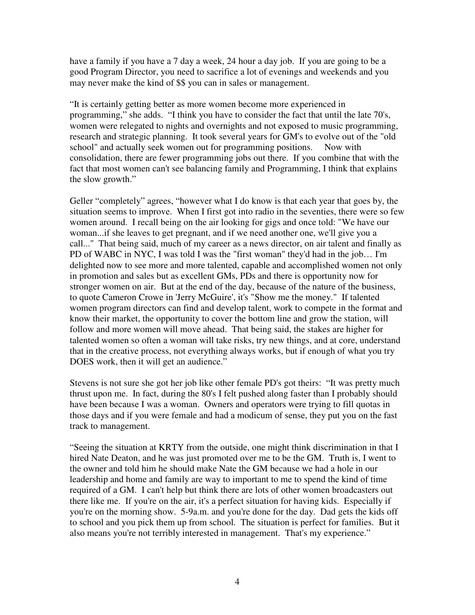have a family if you have a 7 day a week, 24 hour a day job. If you are going to be a good Program Director, you need to sacrifice a lot of evenings and weekends and you may never make the kind of \$\$ you can in sales or management.

"It is certainly getting better as more women become more experienced in programming," she adds. "I think you have to consider the fact that until the late 70's, women were relegated to nights and overnights and not exposed to music programming, research and strategic planning. It took several years for GM's to evolve out of the "old school" and actually seek women out for programming positions. Now with consolidation, there are fewer programming jobs out there. If you combine that with the fact that most women can't see balancing family and Programming, I think that explains the slow growth."

Geller "completely" agrees, "however what I do know is that each year that goes by, the situation seems to improve. When I first got into radio in the seventies, there were so few women around. I recall being on the air looking for gigs and once told: "We have our woman...if she leaves to get pregnant, and if we need another one, we'll give you a call..." That being said, much of my career as a news director, on air talent and finally as PD of WABC in NYC, I was told I was the "first woman" they'd had in the job… I'm delighted now to see more and more talented, capable and accomplished women not only in promotion and sales but as excellent GMs, PDs and there is opportunity now for stronger women on air. But at the end of the day, because of the nature of the business, to quote Cameron Crowe in 'Jerry McGuire', it's "Show me the money." If talented women program directors can find and develop talent, work to compete in the format and know their market, the opportunity to cover the bottom line and grow the station, will follow and more women will move ahead. That being said, the stakes are higher for talented women so often a woman will take risks, try new things, and at core, understand that in the creative process, not everything always works, but if enough of what you try DOES work, then it will get an audience."

Stevens is not sure she got her job like other female PD's got theirs: "It was pretty much thrust upon me. In fact, during the 80's I felt pushed along faster than I probably should have been because I was a woman. Owners and operators were trying to fill quotas in those days and if you were female and had a modicum of sense, they put you on the fast track to management.

"Seeing the situation at KRTY from the outside, one might think discrimination in that I hired Nate Deaton, and he was just promoted over me to be the GM. Truth is, I went to the owner and told him he should make Nate the GM because we had a hole in our leadership and home and family are way to important to me to spend the kind of time required of a GM. I can't help but think there are lots of other women broadcasters out there like me. If you're on the air, it's a perfect situation for having kids. Especially if you're on the morning show. 5-9a.m. and you're done for the day. Dad gets the kids off to school and you pick them up from school. The situation is perfect for families. But it also means you're not terribly interested in management. That's my experience."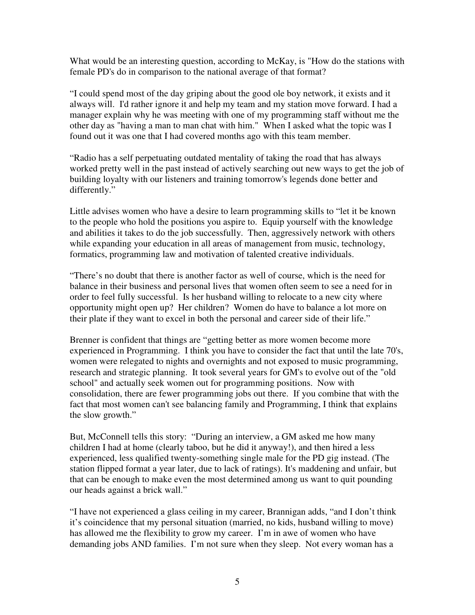What would be an interesting question, according to McKay, is "How do the stations with female PD's do in comparison to the national average of that format?

"I could spend most of the day griping about the good ole boy network, it exists and it always will. I'd rather ignore it and help my team and my station move forward. I had a manager explain why he was meeting with one of my programming staff without me the other day as "having a man to man chat with him." When I asked what the topic was I found out it was one that I had covered months ago with this team member.

"Radio has a self perpetuating outdated mentality of taking the road that has always worked pretty well in the past instead of actively searching out new ways to get the job of building loyalty with our listeners and training tomorrow's legends done better and differently."

Little advises women who have a desire to learn programming skills to "let it be known to the people who hold the positions you aspire to. Equip yourself with the knowledge and abilities it takes to do the job successfully. Then, aggressively network with others while expanding your education in all areas of management from music, technology, formatics, programming law and motivation of talented creative individuals.

"There's no doubt that there is another factor as well of course, which is the need for balance in their business and personal lives that women often seem to see a need for in order to feel fully successful. Is her husband willing to relocate to a new city where opportunity might open up? Her children? Women do have to balance a lot more on their plate if they want to excel in both the personal and career side of their life."

Brenner is confident that things are "getting better as more women become more experienced in Programming. I think you have to consider the fact that until the late 70's, women were relegated to nights and overnights and not exposed to music programming, research and strategic planning. It took several years for GM's to evolve out of the "old school" and actually seek women out for programming positions. Now with consolidation, there are fewer programming jobs out there. If you combine that with the fact that most women can't see balancing family and Programming, I think that explains the slow growth."

But, McConnell tells this story: "During an interview, a GM asked me how many children I had at home (clearly taboo, but he did it anyway!), and then hired a less experienced, less qualified twenty-something single male for the PD gig instead. (The station flipped format a year later, due to lack of ratings). It's maddening and unfair, but that can be enough to make even the most determined among us want to quit pounding our heads against a brick wall."

"I have not experienced a glass ceiling in my career, Brannigan adds, "and I don't think it's coincidence that my personal situation (married, no kids, husband willing to move) has allowed me the flexibility to grow my career. I'm in awe of women who have demanding jobs AND families. I'm not sure when they sleep. Not every woman has a